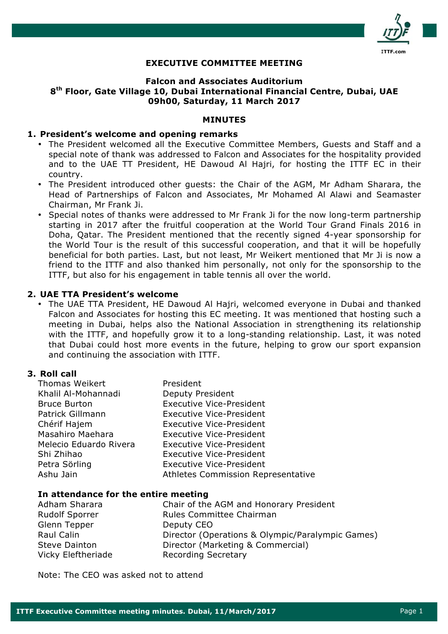

## **EXECUTIVE COMMITTEE MEETING**

## **Falcon and Associates Auditorium 8th Floor, Gate Village 10, Dubai International Financial Centre, Dubai, UAE 09h00, Saturday, 11 March 2017**

#### **MINUTES**

#### **1. President's welcome and opening remarks**

- The President welcomed all the Executive Committee Members, Guests and Staff and a special note of thank was addressed to Falcon and Associates for the hospitality provided and to the UAE TT President, HE Dawoud Al Hajri, for hosting the ITTF EC in their country.
- The President introduced other guests: the Chair of the AGM, Mr Adham Sharara, the Head of Partnerships of Falcon and Associates, Mr Mohamed Al Alawi and Seamaster Chairman, Mr Frank Ji.
- Special notes of thanks were addressed to Mr Frank Ji for the now long-term partnership starting in 2017 after the fruitful cooperation at the World Tour Grand Finals 2016 in Doha, Qatar. The President mentioned that the recently signed 4-year sponsorship for the World Tour is the result of this successful cooperation, and that it will be hopefully beneficial for both parties. Last, but not least, Mr Weikert mentioned that Mr Ji is now a friend to the ITTF and also thanked him personally, not only for the sponsorship to the ITTF, but also for his engagement in table tennis all over the world.

#### **2. UAE TTA President's welcome**

• The UAE TTA President, HE Dawoud Al Hajri, welcomed everyone in Dubai and thanked Falcon and Associates for hosting this EC meeting. It was mentioned that hosting such a meeting in Dubai, helps also the National Association in strengthening its relationship with the ITTF, and hopefully grow it to a long-standing relationship. Last, it was noted that Dubai could host more events in the future, helping to grow our sport expansion and continuing the association with ITTF.

#### **3. Roll call**

| Thomas Weikert         | President                                 |
|------------------------|-------------------------------------------|
| Khalil Al-Mohannadi    | Deputy President                          |
| <b>Bruce Burton</b>    | <b>Executive Vice-President</b>           |
| Patrick Gillmann       | <b>Executive Vice-President</b>           |
| Chérif Hajem           | <b>Executive Vice-President</b>           |
| Masahiro Maehara       | <b>Executive Vice-President</b>           |
| Melecio Eduardo Rivera | <b>Executive Vice-President</b>           |
| Shi Zhihao             | <b>Executive Vice-President</b>           |
| Petra Sörling          | <b>Executive Vice-President</b>           |
| Ashu Jain              | <b>Athletes Commission Representative</b> |

#### **In attendance for the entire meeting**

| Adham Sharara         | Chair of the AGM and Honorary President          |
|-----------------------|--------------------------------------------------|
| <b>Rudolf Sporrer</b> | Rules Committee Chairman                         |
| Glenn Tepper          | Deputy CEO                                       |
| Raul Calin            | Director (Operations & Olympic/Paralympic Games) |
| <b>Steve Dainton</b>  | Director (Marketing & Commercial)                |
| Vicky Eleftheriade    | <b>Recording Secretary</b>                       |

Note: The CEO was asked not to attend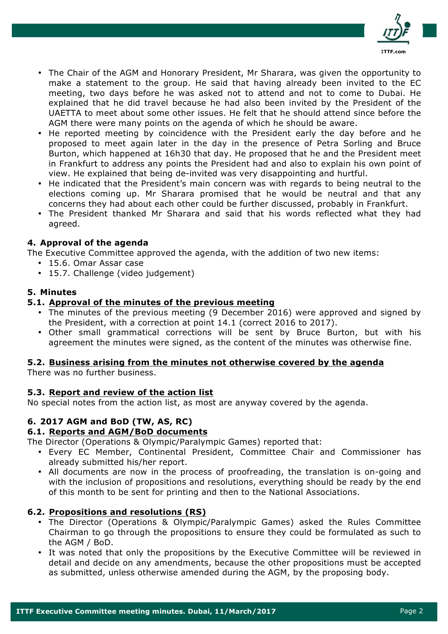

- The Chair of the AGM and Honorary President, Mr Sharara, was given the opportunity to make a statement to the group. He said that having already been invited to the EC meeting, two days before he was asked not to attend and not to come to Dubai. He explained that he did travel because he had also been invited by the President of the UAETTA to meet about some other issues. He felt that he should attend since before the AGM there were many points on the agenda of which he should be aware.
- He reported meeting by coincidence with the President early the day before and he proposed to meet again later in the day in the presence of Petra Sorling and Bruce Burton, which happened at 16h30 that day. He proposed that he and the President meet in Frankfurt to address any points the President had and also to explain his own point of view. He explained that being de-invited was very disappointing and hurtful.
- He indicated that the President's main concern was with regards to being neutral to the elections coming up. Mr Sharara promised that he would be neutral and that any concerns they had about each other could be further discussed, probably in Frankfurt.
- The President thanked Mr Sharara and said that his words reflected what they had agreed.

# **4. Approval of the agenda**

The Executive Committee approved the agenda, with the addition of two new items:

- 15.6. Omar Assar case
- 15.7. Challenge (video judgement)

## **5. Minutes**

## **5.1. Approval of the minutes of the previous meeting**

- The minutes of the previous meeting (9 December 2016) were approved and signed by the President, with a correction at point 14.1 (correct 2016 to 2017).
- Other small grammatical corrections will be sent by Bruce Burton, but with his agreement the minutes were signed, as the content of the minutes was otherwise fine.

# **5.2. Business arising from the minutes not otherwise covered by the agenda**

There was no further business.

## **5.3. Report and review of the action list**

No special notes from the action list, as most are anyway covered by the agenda.

# **6. 2017 AGM and BoD (TW, AS, RC)**

## **6.1. Reports and AGM/BoD documents**

The Director (Operations & Olympic/Paralympic Games) reported that:

- Every EC Member, Continental President, Committee Chair and Commissioner has already submitted his/her report.
- All documents are now in the process of proofreading, the translation is on-going and with the inclusion of propositions and resolutions, everything should be ready by the end of this month to be sent for printing and then to the National Associations.

## **6.2. Propositions and resolutions (RS)**

- The Director (Operations & Olympic/Paralympic Games) asked the Rules Committee Chairman to go through the propositions to ensure they could be formulated as such to the AGM / BoD.
- It was noted that only the propositions by the Executive Committee will be reviewed in detail and decide on any amendments, because the other propositions must be accepted as submitted, unless otherwise amended during the AGM, by the proposing body.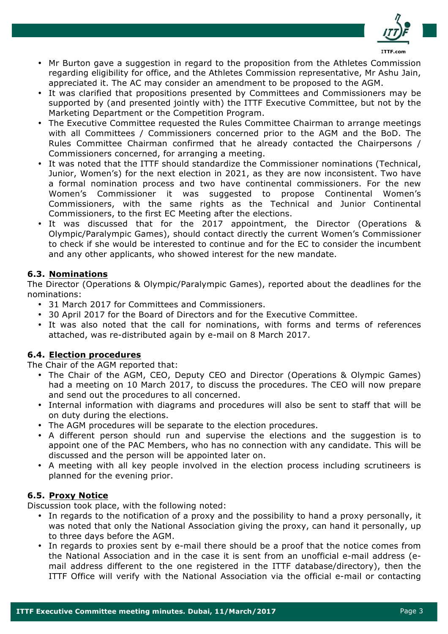

- Mr Burton gave a suggestion in regard to the proposition from the Athletes Commission regarding eligibility for office, and the Athletes Commission representative, Mr Ashu Jain, appreciated it. The AC may consider an amendment to be proposed to the AGM.
- It was clarified that propositions presented by Committees and Commissioners may be supported by (and presented jointly with) the ITTF Executive Committee, but not by the Marketing Department or the Competition Program.
- The Executive Committee requested the Rules Committee Chairman to arrange meetings with all Committees / Commissioners concerned prior to the AGM and the BoD. The Rules Committee Chairman confirmed that he already contacted the Chairpersons / Commissioners concerned, for arranging a meeting.
- It was noted that the ITTF should standardize the Commissioner nominations (Technical, Junior, Women's) for the next election in 2021, as they are now inconsistent. Two have a formal nomination process and two have continental commissioners. For the new Women's Commissioner it was suggested to propose Continental Women's Commissioners, with the same rights as the Technical and Junior Continental Commissioners, to the first EC Meeting after the elections.
- It was discussed that for the 2017 appointment, the Director (Operations & Olympic/Paralympic Games), should contact directly the current Women's Commissioner to check if she would be interested to continue and for the EC to consider the incumbent and any other applicants, who showed interest for the new mandate.

# **6.3. Nominations**

The Director (Operations & Olympic/Paralympic Games), reported about the deadlines for the nominations:

- 31 March 2017 for Committees and Commissioners.
- 30 April 2017 for the Board of Directors and for the Executive Committee.
- It was also noted that the call for nominations, with forms and terms of references attached, was re-distributed again by e-mail on 8 March 2017.

# **6.4. Election procedures**

The Chair of the AGM reported that:

- The Chair of the AGM, CEO, Deputy CEO and Director (Operations & Olympic Games) had a meeting on 10 March 2017, to discuss the procedures. The CEO will now prepare and send out the procedures to all concerned.
- Internal information with diagrams and procedures will also be sent to staff that will be on duty during the elections.
- The AGM procedures will be separate to the election procedures.
- A different person should run and supervise the elections and the suggestion is to appoint one of the PAC Members, who has no connection with any candidate. This will be discussed and the person will be appointed later on.
- A meeting with all key people involved in the election process including scrutineers is planned for the evening prior.

# **6.5. Proxy Notice**

Discussion took place, with the following noted:

- In regards to the notification of a proxy and the possibility to hand a proxy personally, it was noted that only the National Association giving the proxy, can hand it personally, up to three days before the AGM.
- In regards to proxies sent by e-mail there should be a proof that the notice comes from the National Association and in the case it is sent from an unofficial e-mail address (email address different to the one registered in the ITTF database/directory), then the ITTF Office will verify with the National Association via the official e-mail or contacting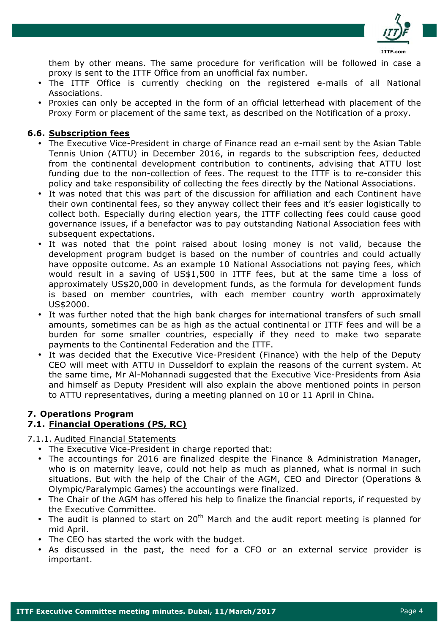

them by other means. The same procedure for verification will be followed in case a proxy is sent to the ITTF Office from an unofficial fax number.

- The ITTF Office is currently checking on the registered e-mails of all National Associations.
- Proxies can only be accepted in the form of an official letterhead with placement of the Proxy Form or placement of the same text, as described on the Notification of a proxy.

# **6.6. Subscription fees**

- The Executive Vice-President in charge of Finance read an e-mail sent by the Asian Table Tennis Union (ATTU) in December 2016, in regards to the subscription fees, deducted from the continental development contribution to continents, advising that ATTU lost funding due to the non-collection of fees. The request to the ITTF is to re-consider this policy and take responsibility of collecting the fees directly by the National Associations.
- It was noted that this was part of the discussion for affiliation and each Continent have their own continental fees, so they anyway collect their fees and it's easier logistically to collect both. Especially during election years, the ITTF collecting fees could cause good governance issues, if a benefactor was to pay outstanding National Association fees with subsequent expectations.
- It was noted that the point raised about losing money is not valid, because the development program budget is based on the number of countries and could actually have opposite outcome. As an example 10 National Associations not paying fees, which would result in a saving of US\$1,500 in ITTF fees, but at the same time a loss of approximately US\$20,000 in development funds, as the formula for development funds is based on member countries, with each member country worth approximately US\$2000.
- It was further noted that the high bank charges for international transfers of such small amounts, sometimes can be as high as the actual continental or ITTF fees and will be a burden for some smaller countries, especially if they need to make two separate payments to the Continental Federation and the ITTF.
- It was decided that the Executive Vice-President (Finance) with the help of the Deputy CEO will meet with ATTU in Dusseldorf to explain the reasons of the current system. At the same time, Mr Al-Mohannadi suggested that the Executive Vice-Presidents from Asia and himself as Deputy President will also explain the above mentioned points in person to ATTU representatives, during a meeting planned on 10 or 11 April in China.

# **7. Operations Program**

# **7.1. Financial Operations (PS, RC)**

7.1.1. Audited Financial Statements

- The Executive Vice-President in charge reported that:
- The accountings for 2016 are finalized despite the Finance & Administration Manager, who is on maternity leave, could not help as much as planned, what is normal in such situations. But with the help of the Chair of the AGM, CEO and Director (Operations & Olympic/Paralympic Games) the accountings were finalized.
- The Chair of the AGM has offered his help to finalize the financial reports, if requested by the Executive Committee.
- The audit is planned to start on  $20<sup>th</sup>$  March and the audit report meeting is planned for mid April.
- The CEO has started the work with the budget.
- As discussed in the past, the need for a CFO or an external service provider is important.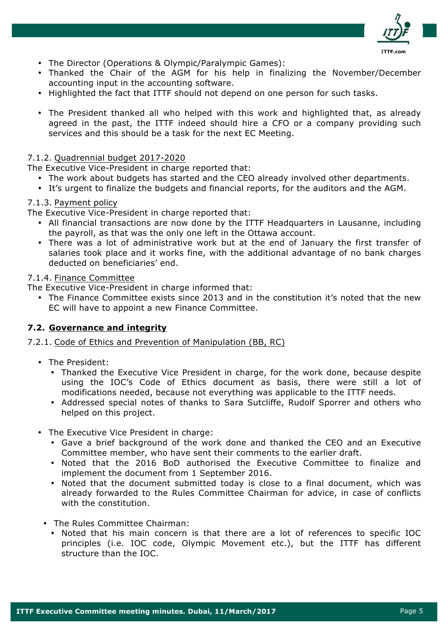

- The Director (Operations & Olympic/Paralympic Games):
- Thanked the Chair of the AGM for his help in finalizing the November/December accounting input in the accounting software.
- Highlighted the fact that ITTF should not depend on one person for such tasks.
- The President thanked all who helped with this work and highlighted that, as already agreed in the past, the ITTF indeed should hire a CFO or a company providing such services and this should be a task for the next EC Meeting.

## 7.1.2. Quadrennial budget 2017-2020

The Executive Vice-President in charge reported that:

- The work about budgets has started and the CEO already involved other departments.
- It's urgent to finalize the budgets and financial reports, for the auditors and the AGM.

#### 7.1.3. Payment policy

The Executive Vice-President in charge reported that:

- All financial transactions are now done by the ITTF Headquarters in Lausanne, including the payroll, as that was the only one left in the Ottawa account.
- There was a lot of administrative work but at the end of January the first transfer of salaries took place and it works fine, with the additional advantage of no bank charges deducted on beneficiaries' end.

#### 7.1.4. Finance Committee

The Executive Vice-President in charge informed that:

• The Finance Committee exists since 2013 and in the constitution it's noted that the new EC will have to appoint a new Finance Committee.

## **7.2. Governance and integrity**

7.2.1. Code of Ethics and Prevention of Manipulation (BB, RC)

- The President:
	- Thanked the Executive Vice President in charge, for the work done, because despite using the IOC's Code of Ethics document as basis, there were still a lot of modifications needed, because not everything was applicable to the ITTF needs.
	- Addressed special notes of thanks to Sara Sutcliffe, Rudolf Sporrer and others who helped on this project.
- The Executive Vice President in charge:
	- Gave a brief background of the work done and thanked the CEO and an Executive Committee member, who have sent their comments to the earlier draft.
	- Noted that the 2016 BoD authorised the Executive Committee to finalize and implement the document from 1 September 2016.
	- Noted that the document submitted today is close to a final document, which was already forwarded to the Rules Committee Chairman for advice, in case of conflicts with the constitution.
	- The Rules Committee Chairman:
		- Noted that his main concern is that there are a lot of references to specific IOC principles (i.e. IOC code, Olympic Movement etc.), but the ITTF has different structure than the IOC.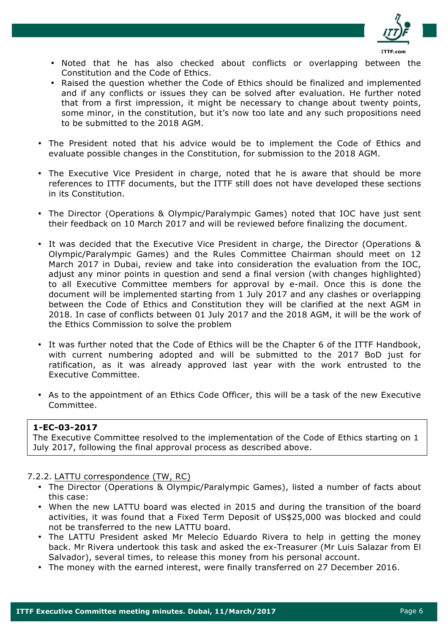

- Noted that he has also checked about conflicts or overlapping between the Constitution and the Code of Ethics.
- Raised the question whether the Code of Ethics should be finalized and implemented and if any conflicts or issues they can be solved after evaluation. He further noted that from a first impression, it might be necessary to change about twenty points, some minor, in the constitution, but it's now too late and any such propositions need to be submitted to the 2018 AGM.
- The President noted that his advice would be to implement the Code of Ethics and evaluate possible changes in the Constitution, for submission to the 2018 AGM.
- The Executive Vice President in charge, noted that he is aware that should be more references to ITTF documents, but the ITTF still does not have developed these sections in its Constitution.
- The Director (Operations & Olympic/Paralympic Games) noted that IOC have just sent their feedback on 10 March 2017 and will be reviewed before finalizing the document.
- It was decided that the Executive Vice President in charge, the Director (Operations & Olympic/Paralympic Games) and the Rules Committee Chairman should meet on 12 March 2017 in Dubai, review and take into consideration the evaluation from the IOC, adjust any minor points in question and send a final version (with changes highlighted) to all Executive Committee members for approval by e-mail. Once this is done the document will be implemented starting from 1 July 2017 and any clashes or overlapping between the Code of Ethics and Constitution they will be clarified at the next AGM in 2018. In case of conflicts between 01 July 2017 and the 2018 AGM, it will be the work of the Ethics Commission to solve the problem
- It was further noted that the Code of Ethics will be the Chapter 6 of the ITTF Handbook, with current numbering adopted and will be submitted to the 2017 BoD just for ratification, as it was already approved last year with the work entrusted to the Executive Committee.
- As to the appointment of an Ethics Code Officer, this will be a task of the new Executive Committee.

# **1-EC-03-2017**

The Executive Committee resolved to the implementation of the Code of Ethics starting on 1 July 2017, following the final approval process as described above.

7.2.2. LATTU correspondence (TW, RC)

- The Director (Operations & Olympic/Paralympic Games), listed a number of facts about this case:
- When the new LATTU board was elected in 2015 and during the transition of the board activities, it was found that a Fixed Term Deposit of US\$25,000 was blocked and could not be transferred to the new LATTU board.
- The LATTU President asked Mr Melecio Eduardo Rivera to help in getting the money back. Mr Rivera undertook this task and asked the ex-Treasurer (Mr Luis Salazar from El Salvador), several times, to release this money from his personal account.
- The money with the earned interest, were finally transferred on 27 December 2016.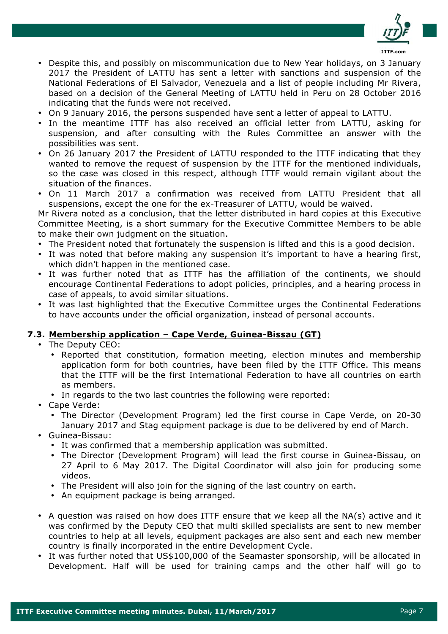

- Despite this, and possibly on miscommunication due to New Year holidays, on 3 January 2017 the President of LATTU has sent a letter with sanctions and suspension of the National Federations of El Salvador, Venezuela and a list of people including Mr Rivera, based on a decision of the General Meeting of LATTU held in Peru on 28 October 2016 indicating that the funds were not received.
- On 9 January 2016, the persons suspended have sent a letter of appeal to LATTU.
- In the meantime ITTF has also received an official letter from LATTU, asking for suspension, and after consulting with the Rules Committee an answer with the possibilities was sent.
- On 26 January 2017 the President of LATTU responded to the ITTF indicating that they wanted to remove the request of suspension by the ITTF for the mentioned individuals, so the case was closed in this respect, although ITTF would remain vigilant about the situation of the finances.
- On 11 March 2017 a confirmation was received from LATTU President that all suspensions, except the one for the ex-Treasurer of LATTU, would be waived.

Mr Rivera noted as a conclusion, that the letter distributed in hard copies at this Executive Committee Meeting, is a short summary for the Executive Committee Members to be able to make their own judgment on the situation.

- The President noted that fortunately the suspension is lifted and this is a good decision.
- It was noted that before making any suspension it's important to have a hearing first, which didn't happen in the mentioned case.
- It was further noted that as ITTF has the affiliation of the continents, we should encourage Continental Federations to adopt policies, principles, and a hearing process in case of appeals, to avoid similar situations.
- It was last highlighted that the Executive Committee urges the Continental Federations to have accounts under the official organization, instead of personal accounts.

# **7.3. Membership application – Cape Verde, Guinea-Bissau (GT)**

- The Deputy CEO:
	- Reported that constitution, formation meeting, election minutes and membership application form for both countries, have been filed by the ITTF Office. This means that the ITTF will be the first International Federation to have all countries on earth as members.
	- In regards to the two last countries the following were reported:
- Cape Verde:
	- The Director (Development Program) led the first course in Cape Verde, on 20-30 January 2017 and Stag equipment package is due to be delivered by end of March.
- Guinea-Bissau:
	- It was confirmed that a membership application was submitted.
	- The Director (Development Program) will lead the first course in Guinea-Bissau, on 27 April to 6 May 2017. The Digital Coordinator will also join for producing some videos.
	- The President will also join for the signing of the last country on earth.
	- An equipment package is being arranged.
- A question was raised on how does ITTF ensure that we keep all the NA(s) active and it was confirmed by the Deputy CEO that multi skilled specialists are sent to new member countries to help at all levels, equipment packages are also sent and each new member country is finally incorporated in the entire Development Cycle.
- It was further noted that US\$100,000 of the Seamaster sponsorship, will be allocated in Development. Half will be used for training camps and the other half will go to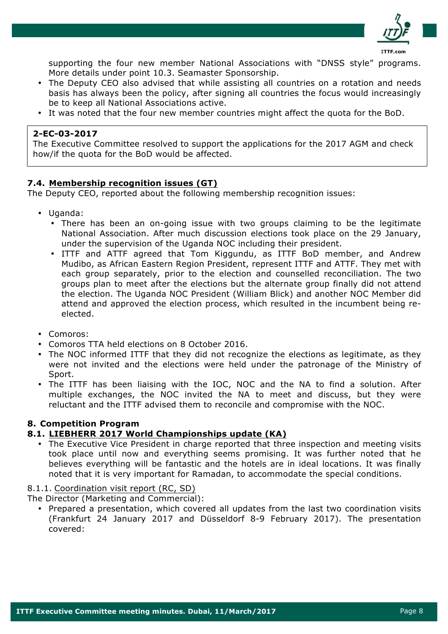

supporting the four new member National Associations with "DNSS style" programs. More details under point 10.3. Seamaster Sponsorship.

- The Deputy CEO also advised that while assisting all countries on a rotation and needs basis has always been the policy, after signing all countries the focus would increasingly be to keep all National Associations active.
- It was noted that the four new member countries might affect the quota for the BoD.

## **2-EC-03-2017**

The Executive Committee resolved to support the applications for the 2017 AGM and check how/if the quota for the BoD would be affected.

## **7.4. Membership recognition issues (GT)**

The Deputy CEO, reported about the following membership recognition issues:

- Uganda:
	- There has been an on-going issue with two groups claiming to be the legitimate National Association. After much discussion elections took place on the 29 January, under the supervision of the Uganda NOC including their president.
	- ITTF and ATTF agreed that Tom Kiggundu, as ITTF BoD member, and Andrew Mudibo, as African Eastern Region President, represent ITTF and ATTF. They met with each group separately, prior to the election and counselled reconciliation. The two groups plan to meet after the elections but the alternate group finally did not attend the election. The Uganda NOC President (William Blick) and another NOC Member did attend and approved the election process, which resulted in the incumbent being reelected.
- Comoros:
- Comoros TTA held elections on 8 October 2016.
- The NOC informed ITTF that they did not recognize the elections as legitimate, as they were not invited and the elections were held under the patronage of the Ministry of Sport.
- The ITTF has been liaising with the IOC, NOC and the NA to find a solution. After multiple exchanges, the NOC invited the NA to meet and discuss, but they were reluctant and the ITTF advised them to reconcile and compromise with the NOC.

# **8. Competition Program**

## **8.1. LIEBHERR 2017 World Championships update (KA)**

• The Executive Vice President in charge reported that three inspection and meeting visits took place until now and everything seems promising. It was further noted that he believes everything will be fantastic and the hotels are in ideal locations. It was finally noted that it is very important for Ramadan, to accommodate the special conditions.

# 8.1.1. Coordination visit report (RC, SD)

The Director (Marketing and Commercial):

• Prepared a presentation, which covered all updates from the last two coordination visits (Frankfurt 24 January 2017 and Düsseldorf 8-9 February 2017). The presentation covered: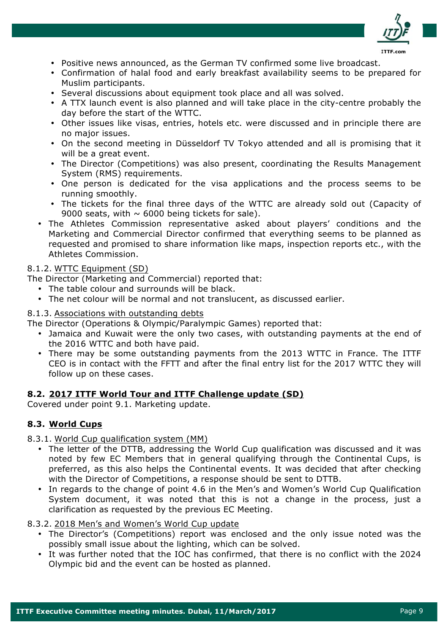

- Positive news announced, as the German TV confirmed some live broadcast.
- Confirmation of halal food and early breakfast availability seems to be prepared for Muslim participants.
- Several discussions about equipment took place and all was solved.
- A TTX launch event is also planned and will take place in the city-centre probably the day before the start of the WTTC.
- Other issues like visas, entries, hotels etc. were discussed and in principle there are no major issues.
- On the second meeting in Düsseldorf TV Tokyo attended and all is promising that it will be a great event.
- The Director (Competitions) was also present, coordinating the Results Management System (RMS) requirements.
- One person is dedicated for the visa applications and the process seems to be running smoothly.
- The tickets for the final three days of the WTTC are already sold out (Capacity of 9000 seats, with  $\sim$  6000 being tickets for sale).
- The Athletes Commission representative asked about players' conditions and the Marketing and Commercial Director confirmed that everything seems to be planned as requested and promised to share information like maps, inspection reports etc., with the Athletes Commission.

# 8.1.2. WTTC Equipment (SD)

The Director (Marketing and Commercial) reported that:

- The table colour and surrounds will be black.
- The net colour will be normal and not translucent, as discussed earlier.

## 8.1.3. Associations with outstanding debts

The Director (Operations & Olympic/Paralympic Games) reported that:

- Jamaica and Kuwait were the only two cases, with outstanding payments at the end of the 2016 WTTC and both have paid.
- There may be some outstanding payments from the 2013 WTTC in France. The ITTF CEO is in contact with the FFTT and after the final entry list for the 2017 WTTC they will follow up on these cases.

# **8.2. 2017 ITTF World Tour and ITTF Challenge update (SD)**

Covered under point 9.1. Marketing update.

# **8.3. World Cups**

8.3.1. World Cup qualification system (MM)

- The letter of the DTTB, addressing the World Cup qualification was discussed and it was noted by few EC Members that in general qualifying through the Continental Cups, is preferred, as this also helps the Continental events. It was decided that after checking with the Director of Competitions, a response should be sent to DTTB.
- In regards to the change of point 4.6 in the Men's and Women's World Cup Qualification System document, it was noted that this is not a change in the process, just a clarification as requested by the previous EC Meeting.

8.3.2. 2018 Men's and Women's World Cup update

- The Director's (Competitions) report was enclosed and the only issue noted was the possibly small issue about the lighting, which can be solved.
- It was further noted that the IOC has confirmed, that there is no conflict with the 2024 Olympic bid and the event can be hosted as planned.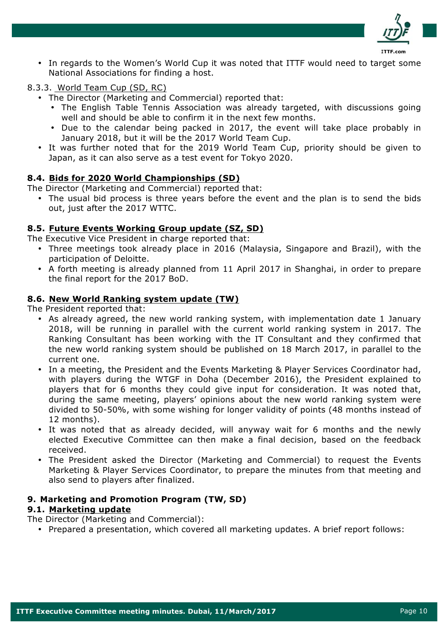

• In regards to the Women's World Cup it was noted that ITTF would need to target some National Associations for finding a host.

## 8.3.3. World Team Cup (SD, RC)

- The Director (Marketing and Commercial) reported that:
	- The English Table Tennis Association was already targeted, with discussions going well and should be able to confirm it in the next few months.
	- Due to the calendar being packed in 2017, the event will take place probably in January 2018, but it will be the 2017 World Team Cup.
- It was further noted that for the 2019 World Team Cup, priority should be given to Japan, as it can also serve as a test event for Tokyo 2020.

## **8.4. Bids for 2020 World Championships (SD)**

The Director (Marketing and Commercial) reported that:

• The usual bid process is three years before the event and the plan is to send the bids out, just after the 2017 WTTC.

## **8.5. Future Events Working Group update (SZ, SD)**

The Executive Vice President in charge reported that:

- Three meetings took already place in 2016 (Malaysia, Singapore and Brazil), with the participation of Deloitte.
- A forth meeting is already planned from 11 April 2017 in Shanghai, in order to prepare the final report for the 2017 BoD.

## **8.6. New World Ranking system update (TW)**

The President reported that:

- As already agreed, the new world ranking system, with implementation date 1 January 2018, will be running in parallel with the current world ranking system in 2017. The Ranking Consultant has been working with the IT Consultant and they confirmed that the new world ranking system should be published on 18 March 2017, in parallel to the current one.
- In a meeting, the President and the Events Marketing & Player Services Coordinator had, with players during the WTGF in Doha (December 2016), the President explained to players that for 6 months they could give input for consideration. It was noted that, during the same meeting, players' opinions about the new world ranking system were divided to 50-50%, with some wishing for longer validity of points (48 months instead of 12 months).
- It was noted that as already decided, will anyway wait for 6 months and the newly elected Executive Committee can then make a final decision, based on the feedback received.
- The President asked the Director (Marketing and Commercial) to request the Events Marketing & Player Services Coordinator, to prepare the minutes from that meeting and also send to players after finalized.

## **9. Marketing and Promotion Program (TW, SD)**

## **9.1. Marketing update**

The Director (Marketing and Commercial):

• Prepared a presentation, which covered all marketing updates. A brief report follows: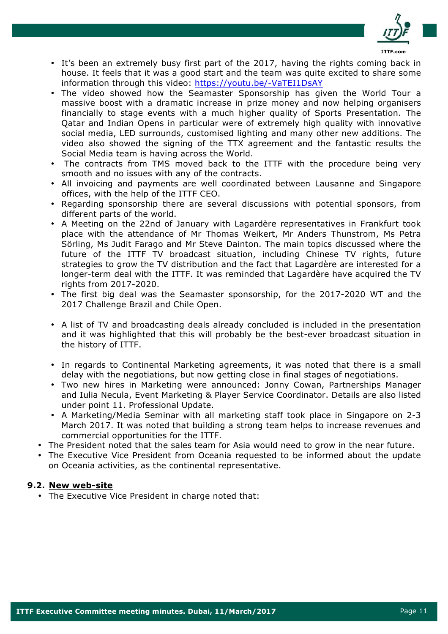

- It's been an extremely busy first part of the 2017, having the rights coming back in house. It feels that it was a good start and the team was quite excited to share some information through this video: https://youtu.be/-VaTEI1DsAY
- The video showed how the Seamaster Sponsorship has given the World Tour a massive boost with a dramatic increase in prize money and now helping organisers financially to stage events with a much higher quality of Sports Presentation. The Qatar and Indian Opens in particular were of extremely high quality with innovative social media, LED surrounds, customised lighting and many other new additions. The video also showed the signing of the TTX agreement and the fantastic results the Social Media team is having across the World.
- The contracts from TMS moved back to the ITTF with the procedure being very smooth and no issues with any of the contracts.
- All invoicing and payments are well coordinated between Lausanne and Singapore offices, with the help of the ITTF CEO.
- Regarding sponsorship there are several discussions with potential sponsors, from different parts of the world.
- A Meeting on the 22nd of January with Lagardère representatives in Frankfurt took place with the attendance of Mr Thomas Weikert, Mr Anders Thunstrom, Ms Petra Sörling, Ms Judit Farago and Mr Steve Dainton. The main topics discussed where the future of the ITTF TV broadcast situation, including Chinese TV rights, future strategies to grow the TV distribution and the fact that Lagardère are interested for a longer-term deal with the ITTF. It was reminded that Lagardère have acquired the TV rights from 2017-2020.
- The first big deal was the Seamaster sponsorship, for the 2017-2020 WT and the 2017 Challenge Brazil and Chile Open.
- A list of TV and broadcasting deals already concluded is included in the presentation and it was highlighted that this will probably be the best-ever broadcast situation in the history of ITTF.
- In regards to Continental Marketing agreements, it was noted that there is a small delay with the negotiations, but now getting close in final stages of negotiations.
- Two new hires in Marketing were announced: Jonny Cowan, Partnerships Manager and Iulia Necula, Event Marketing & Player Service Coordinator. Details are also listed under point 11. Professional Update.
- A Marketing/Media Seminar with all marketing staff took place in Singapore on 2-3 March 2017. It was noted that building a strong team helps to increase revenues and commercial opportunities for the ITTF.
- The President noted that the sales team for Asia would need to grow in the near future.
- The Executive Vice President from Oceania requested to be informed about the update on Oceania activities, as the continental representative.

# **9.2. New web-site**

• The Executive Vice President in charge noted that: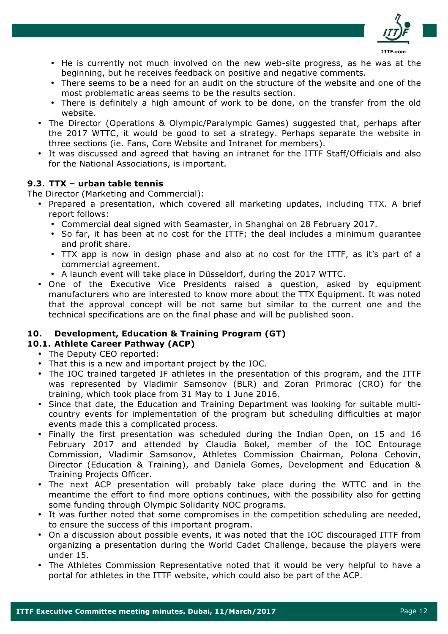

- He is currently not much involved on the new web-site progress, as he was at the beginning, but he receives feedback on positive and negative comments.
- There seems to be a need for an audit on the structure of the website and one of the most problematic areas seems to be the results section.
- There is definitely a high amount of work to be done, on the transfer from the old website.
- The Director (Operations & Olympic/Paralympic Games) suggested that, perhaps after the 2017 WTTC, it would be good to set a strategy. Perhaps separate the website in three sections (ie. Fans, Core Website and Intranet for members).
- It was discussed and agreed that having an intranet for the ITTF Staff/Officials and also for the National Associations, is important.

# **9.3. TTX – urban table tennis**

The Director (Marketing and Commercial):

- Prepared a presentation, which covered all marketing updates, including TTX. A brief report follows:
	- Commercial deal signed with Seamaster, in Shanghai on 28 February 2017.
	- So far, it has been at no cost for the ITTF; the deal includes a minimum guarantee and profit share.
	- TTX app is now in design phase and also at no cost for the ITTF, as it's part of a commercial agreement.
	- A launch event will take place in Düsseldorf, during the 2017 WTTC.
- One of the Executive Vice Presidents raised a question, asked by equipment manufacturers who are interested to know more about the TTX Equipment. It was noted that the approval concept will be not same but similar to the current one and the technical specifications are on the final phase and will be published soon.

# **10. Development, Education & Training Program (GT)**

# **10.1. Athlete Career Pathway (ACP)**

- The Deputy CEO reported:
- That this is a new and important project by the IOC.
- The IOC trained targeted IF athletes in the presentation of this program, and the ITTF was represented by Vladimir Samsonov (BLR) and Zoran Primorac (CRO) for the training, which took place from 31 May to 1 June 2016.
- Since that date, the Education and Training Department was looking for suitable multicountry events for implementation of the program but scheduling difficulties at major events made this a complicated process.
- Finally the first presentation was scheduled during the Indian Open, on 15 and 16 February 2017 and attended by Claudia Bokel, member of the IOC Entourage Commission, Vladimir Samsonov, Athletes Commission Chairman, Polona Cehovin, Director (Education & Training), and Daniela Gomes, Development and Education & Training Projects Officer.
- The next ACP presentation will probably take place during the WTTC and in the meantime the effort to find more options continues, with the possibility also for getting some funding through Olympic Solidarity NOC programs.
- It was further noted that some compromises in the competition scheduling are needed, to ensure the success of this important program.
- On a discussion about possible events, it was noted that the IOC discouraged ITTF from organizing a presentation during the World Cadet Challenge, because the players were under 15.
- The Athletes Commission Representative noted that it would be very helpful to have a portal for athletes in the ITTF website, which could also be part of the ACP.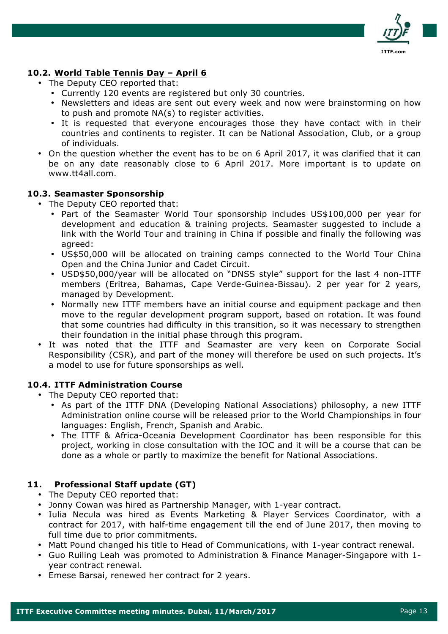

# **10.2. World Table Tennis Day – April 6**

- The Deputy CEO reported that:
	- Currently 120 events are registered but only 30 countries.
	- Newsletters and ideas are sent out every week and now were brainstorming on how to push and promote NA(s) to register activities.
	- It is requested that everyone encourages those they have contact with in their countries and continents to register. It can be National Association, Club, or a group of individuals.
- On the question whether the event has to be on 6 April 2017, it was clarified that it can be on any date reasonably close to 6 April 2017. More important is to update on www.tt4all.com.

## **10.3. Seamaster Sponsorship**

- The Deputy CEO reported that:
	- Part of the Seamaster World Tour sponsorship includes US\$100,000 per year for development and education & training projects. Seamaster suggested to include a link with the World Tour and training in China if possible and finally the following was agreed:
	- US\$50,000 will be allocated on training camps connected to the World Tour China Open and the China Junior and Cadet Circuit.
	- USD\$50,000/year will be allocated on "DNSS style" support for the last 4 non-ITTF members (Eritrea, Bahamas, Cape Verde-Guinea-Bissau). 2 per year for 2 years, managed by Development.
	- Normally new ITTF members have an initial course and equipment package and then move to the regular development program support, based on rotation. It was found that some countries had difficulty in this transition, so it was necessary to strengthen their foundation in the initial phase through this program.
- It was noted that the ITTF and Seamaster are very keen on Corporate Social Responsibility (CSR), and part of the money will therefore be used on such projects. It's a model to use for future sponsorships as well.

## **10.4. ITTF Administration Course**

- The Deputy CEO reported that:
	- As part of the ITTF DNA (Developing National Associations) philosophy, a new ITTF Administration online course will be released prior to the World Championships in four languages: English, French, Spanish and Arabic.
	- The ITTF & Africa-Oceania Development Coordinator has been responsible for this project, working in close consultation with the IOC and it will be a course that can be done as a whole or partly to maximize the benefit for National Associations.

# **11. Professional Staff update (GT)**

- The Deputy CEO reported that:
- Jonny Cowan was hired as Partnership Manager, with 1-year contract.
- Iulia Necula was hired as Events Marketing & Player Services Coordinator, with a contract for 2017, with half-time engagement till the end of June 2017, then moving to full time due to prior commitments.
- Matt Pound changed his title to Head of Communications, with 1-year contract renewal.
- Guo Ruiling Leah was promoted to Administration & Finance Manager-Singapore with 1 year contract renewal.
- Emese Barsai, renewed her contract for 2 years.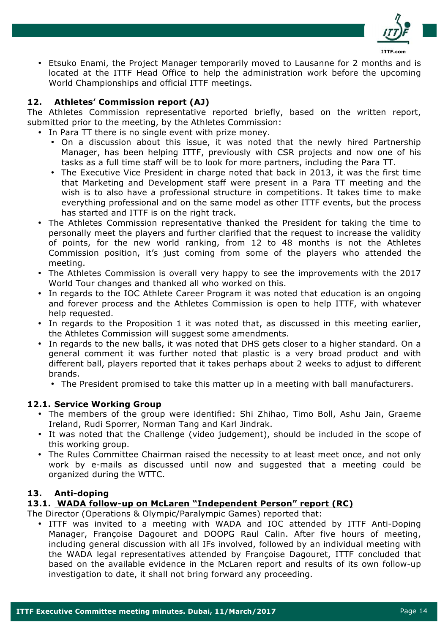

• Etsuko Enami, the Project Manager temporarily moved to Lausanne for 2 months and is located at the ITTF Head Office to help the administration work before the upcoming World Championships and official ITTF meetings.

## **12. Athletes' Commission report (AJ)**

The Athletes Commission representative reported briefly, based on the written report, submitted prior to the meeting, by the Athletes Commission:

- In Para TT there is no single event with prize money.
	- On a discussion about this issue, it was noted that the newly hired Partnership Manager, has been helping ITTF, previously with CSR projects and now one of his tasks as a full time staff will be to look for more partners, including the Para TT.
	- The Executive Vice President in charge noted that back in 2013, it was the first time that Marketing and Development staff were present in a Para TT meeting and the wish is to also have a professional structure in competitions. It takes time to make everything professional and on the same model as other ITTF events, but the process has started and ITTF is on the right track.
- The Athletes Commission representative thanked the President for taking the time to personally meet the players and further clarified that the request to increase the validity of points, for the new world ranking, from 12 to 48 months is not the Athletes Commission position, it's just coming from some of the players who attended the meeting.
- The Athletes Commission is overall very happy to see the improvements with the 2017 World Tour changes and thanked all who worked on this.
- In regards to the IOC Athlete Career Program it was noted that education is an ongoing and forever process and the Athletes Commission is open to help ITTF, with whatever help requested.
- In regards to the Proposition 1 it was noted that, as discussed in this meeting earlier, the Athletes Commission will suggest some amendments.
- In regards to the new balls, it was noted that DHS gets closer to a higher standard. On a general comment it was further noted that plastic is a very broad product and with different ball, players reported that it takes perhaps about 2 weeks to adjust to different brands.
	- The President promised to take this matter up in a meeting with ball manufacturers.

# **12.1. Service Working Group**

- The members of the group were identified: Shi Zhihao, Timo Boll, Ashu Jain, Graeme Ireland, Rudi Sporrer, Norman Tang and Karl Jindrak.
- It was noted that the Challenge (video judgement), should be included in the scope of this working group.
- The Rules Committee Chairman raised the necessity to at least meet once, and not only work by e-mails as discussed until now and suggested that a meeting could be organized during the WTTC.

# **13. Anti-doping**

# **13.1. WADA follow-up on McLaren "Independent Person" report (RC)**

The Director (Operations & Olympic/Paralympic Games) reported that:

• ITTF was invited to a meeting with WADA and IOC attended by ITTF Anti-Doping Manager, Françoise Dagouret and DOOPG Raul Calin. After five hours of meeting, including general discussion with all IFs involved, followed by an individual meeting with the WADA legal representatives attended by Françoise Dagouret, ITTF concluded that based on the available evidence in the McLaren report and results of its own follow-up investigation to date, it shall not bring forward any proceeding.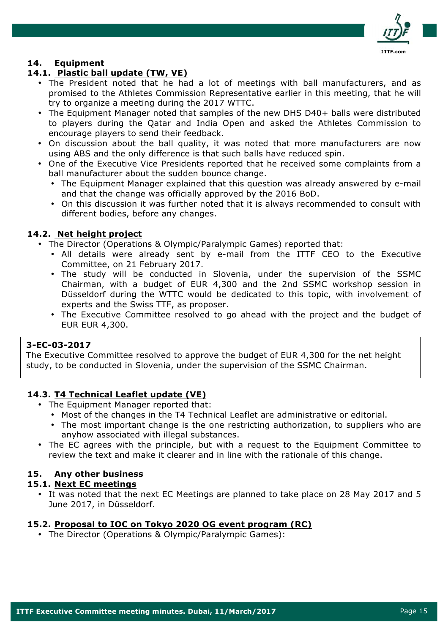

## **14. Equipment**

## **14.1. Plastic ball update (TW, VE)**

- The President noted that he had a lot of meetings with ball manufacturers, and as promised to the Athletes Commission Representative earlier in this meeting, that he will try to organize a meeting during the 2017 WTTC.
- The Equipment Manager noted that samples of the new DHS D40+ balls were distributed to players during the Qatar and India Open and asked the Athletes Commission to encourage players to send their feedback.
- On discussion about the ball quality, it was noted that more manufacturers are now using ABS and the only difference is that such balls have reduced spin.
- One of the Executive Vice Presidents reported that he received some complaints from a ball manufacturer about the sudden bounce change.
	- The Equipment Manager explained that this question was already answered by e-mail and that the change was officially approved by the 2016 BoD.
	- On this discussion it was further noted that it is always recommended to consult with different bodies, before any changes.

## **14.2. Net height project**

- The Director (Operations & Olympic/Paralympic Games) reported that:
	- All details were already sent by e-mail from the ITTF CEO to the Executive Committee, on 21 February 2017.
	- The study will be conducted in Slovenia, under the supervision of the SSMC Chairman, with a budget of EUR 4,300 and the 2nd SSMC workshop session in Düsseldorf during the WTTC would be dedicated to this topic, with involvement of experts and the Swiss TTF, as proposer.
	- The Executive Committee resolved to go ahead with the project and the budget of EUR EUR 4,300.

## **3-EC-03-2017**

The Executive Committee resolved to approve the budget of EUR 4,300 for the net height study, to be conducted in Slovenia, under the supervision of the SSMC Chairman.

## **14.3. T4 Technical Leaflet update (VE)**

- The Equipment Manager reported that:
	- Most of the changes in the T4 Technical Leaflet are administrative or editorial.
	- The most important change is the one restricting authorization, to suppliers who are anyhow associated with illegal substances.
- The EC agrees with the principle, but with a request to the Equipment Committee to review the text and make it clearer and in line with the rationale of this change.

## **15. Any other business**

## **15.1. Next EC meetings**

• It was noted that the next EC Meetings are planned to take place on 28 May 2017 and 5 June 2017, in Düsseldorf.

#### **15.2. Proposal to IOC on Tokyo 2020 OG event program (RC)**

• The Director (Operations & Olympic/Paralympic Games):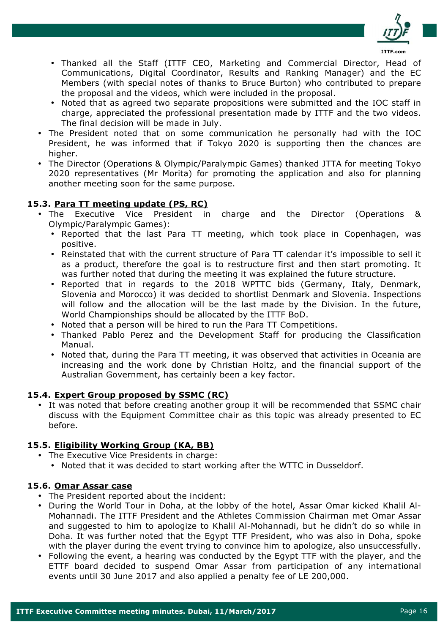

- Thanked all the Staff (ITTF CEO, Marketing and Commercial Director, Head of Communications, Digital Coordinator, Results and Ranking Manager) and the EC Members (with special notes of thanks to Bruce Burton) who contributed to prepare the proposal and the videos, which were included in the proposal.
- Noted that as agreed two separate propositions were submitted and the IOC staff in charge, appreciated the professional presentation made by ITTF and the two videos. The final decision will be made in July.
- The President noted that on some communication he personally had with the IOC President, he was informed that if Tokyo 2020 is supporting then the chances are higher.
- The Director (Operations & Olympic/Paralympic Games) thanked JTTA for meeting Tokyo 2020 representatives (Mr Morita) for promoting the application and also for planning another meeting soon for the same purpose.

# **15.3. Para TT meeting update (PS, RC)**

- The Executive Vice President in charge and the Director (Operations & Olympic/Paralympic Games):
	- Reported that the last Para TT meeting, which took place in Copenhagen, was positive.
	- Reinstated that with the current structure of Para TT calendar it's impossible to sell it as a product, therefore the goal is to restructure first and then start promoting. It was further noted that during the meeting it was explained the future structure.
	- Reported that in regards to the 2018 WPTTC bids (Germany, Italy, Denmark, Slovenia and Morocco) it was decided to shortlist Denmark and Slovenia. Inspections will follow and the allocation will be the last made by the Division. In the future, World Championships should be allocated by the ITTF BoD.
	- Noted that a person will be hired to run the Para TT Competitions.
	- Thanked Pablo Perez and the Development Staff for producing the Classification Manual.
	- Noted that, during the Para TT meeting, it was observed that activities in Oceania are increasing and the work done by Christian Holtz, and the financial support of the Australian Government, has certainly been a key factor.

# **15.4. Expert Group proposed by SSMC (RC)**

• It was noted that before creating another group it will be recommended that SSMC chair discuss with the Equipment Committee chair as this topic was already presented to EC before.

# **15.5. Eligibility Working Group (KA, BB)**

- The Executive Vice Presidents in charge:
	- Noted that it was decided to start working after the WTTC in Dusseldorf.

# **15.6. Omar Assar case**

- The President reported about the incident:
- During the World Tour in Doha, at the lobby of the hotel, Assar Omar kicked Khalil Al-Mohannadi. The ITTF President and the Athletes Commission Chairman met Omar Assar and suggested to him to apologize to Khalil Al-Mohannadi, but he didn't do so while in Doha. It was further noted that the Egypt TTF President, who was also in Doha, spoke with the player during the event trying to convince him to apologize, also unsuccessfully.
- Following the event, a hearing was conducted by the Egypt TTF with the player, and the ETTF board decided to suspend Omar Assar from participation of any international events until 30 June 2017 and also applied a penalty fee of LE 200,000.